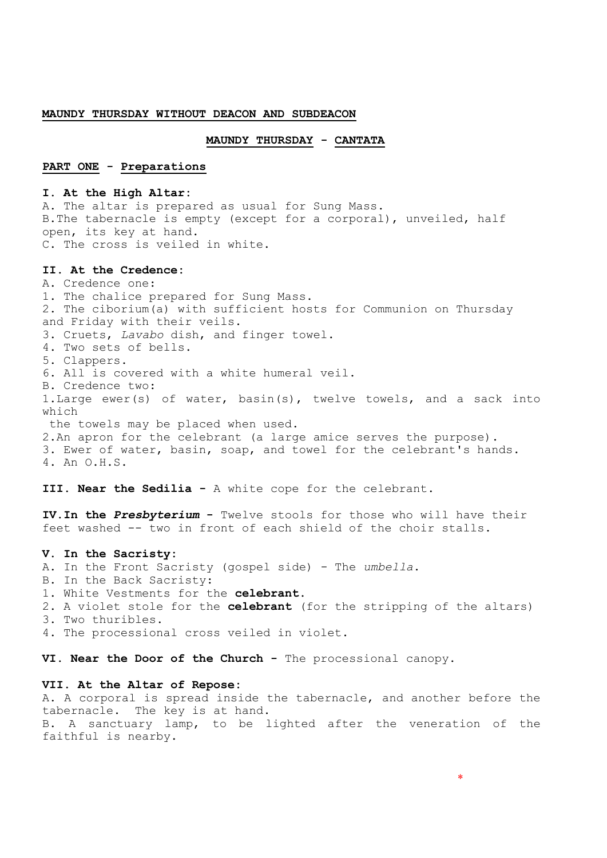#### **MAUNDY THURSDAY WITHOUT DEACON AND SUBDEACON**

## **MAUNDY THURSDAY - CANTATA**

# **PART ONE - Preparations**

#### **I. At the High Altar:**

A. The altar is prepared as usual for Sung Mass. B.The tabernacle is empty (except for a corporal), unveiled, half open, its key at hand. C. The cross is veiled in white.

### **II. At the Credence:**

A. Credence one: 1. The chalice prepared for Sung Mass. 2. The ciborium(a) with sufficient hosts for Communion on Thursday and Friday with their veils. 3. Cruets, *Lavabo* dish, and finger towel. 4. Two sets of bells. 5. Clappers. 6. All is covered with a white humeral veil. B. Credence two: 1.Large ewer(s) of water, basin(s), twelve towels, and a sack into which the towels may be placed when used. 2.An apron for the celebrant (a large amice serves the purpose). 3. Ewer of water, basin, soap, and towel for the celebrant's hands. 4. An O.H.S.

#### **III. Near the Sedilia -** A white cope for the celebrant.

**IV.In the** *Presbyterium* **-** Twelve stools for those who will have their feet washed -- two in front of each shield of the choir stalls.

#### **V. In the Sacristy:**

- A. In the Front Sacristy (gospel side) The *umbella*.
- B. In the Back Sacristy:
- 1. White Vestments for the **celebrant**.
- 2. A violet stole for the **celebrant** (for the stripping of the altars)
- 3. Two thuribles.
- 4. The processional cross veiled in violet.

**VI. Near the Door of the Church -** The processional canopy.

# **VII. At the Altar of Repose:**

A. A corporal is spread inside the tabernacle, and another before the tabernacle. The key is at hand. B. A sanctuary lamp, to be lighted after the veneration of the faithful is nearby.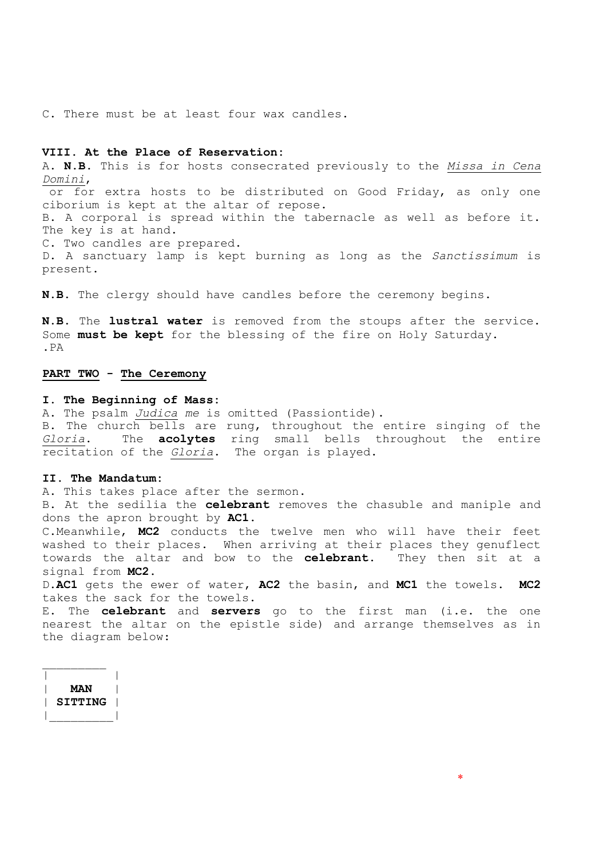C. There must be at least four wax candles.

# **VIII. At the Place of Reservation:**

A. **N.B.** This is for hosts consecrated previously to the *Missa in Cena Domini*,

or for extra hosts to be distributed on Good Friday, as only one ciborium is kept at the altar of repose.

B. A corporal is spread within the tabernacle as well as before it. The key is at hand.

C. Two candles are prepared.

D. A sanctuary lamp is kept burning as long as the *Sanctissimum* is present.

**N.B.** The clergy should have candles before the ceremony begins.

**N.B.** The **lustral water** is removed from the stoups after the service. Some **must be kept** for the blessing of the fire on Holy Saturday. .PA

# **PART TWO - The Ceremony**

#### **I. The Beginning of Mass:**

A. The psalm *Judica me* is omitted (Passiontide).

B. The church bells are rung, throughout the entire singing of the *Gloria*. The **acolytes** ring small bells throughout the entire recitation of the *Gloria*. The organ is played.

### **II. The Mandatum:**

A. This takes place after the sermon.

B. At the sedilia the **celebrant** removes the chasuble and maniple and dons the apron brought by **AC1**.

C.Meanwhile, **MC2** conducts the twelve men who will have their feet washed to their places. When arriving at their places they genuflect towards the altar and bow to the **celebrant**. They then sit at a signal from **MC2**.

D.**AC1** gets the ewer of water, **AC2** the basin, and **MC1** the towels. **MC2** takes the sack for the towels.

E. The **celebrant** and **servers** go to the first man (i.e. the one nearest the altar on the epistle side) and arrange themselves as in the diagram below:

| <b>MAN</b>     |  |
|----------------|--|
| <b>SITTING</b> |  |
|                |  |

 $\overline{\phantom{a}}$  , where  $\overline{\phantom{a}}$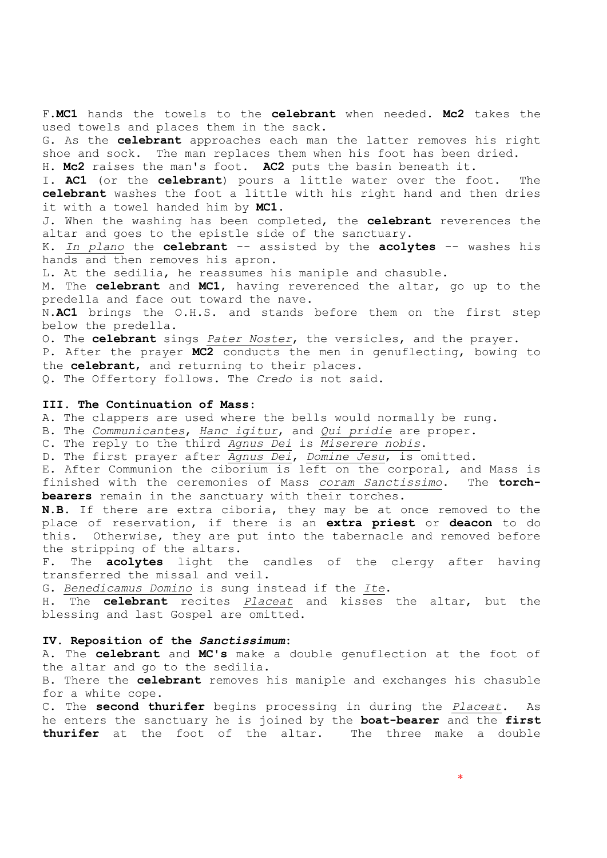F.**MC1** hands the towels to the **celebrant** when needed. **Mc2** takes the used towels and places them in the sack.

G. As the **celebrant** approaches each man the latter removes his right shoe and sock. The man replaces them when his foot has been dried.

H. **Mc2** raises the man's foot. **AC2** puts the basin beneath it.

I. **AC1** (or the **celebrant**) pours a little water over the foot. The **celebrant** washes the foot a little with his right hand and then dries it with a towel handed him by **MC1**.

J. When the washing has been completed, the **celebrant** reverences the altar and goes to the epistle side of the sanctuary.

K. *In plano* the **celebrant** -- assisted by the **acolytes** -- washes his hands and then removes his apron.

L. At the sedilia, he reassumes his maniple and chasuble.

M. The **celebrant** and **MC1**, having reverenced the altar, go up to the predella and face out toward the nave.

N.**AC1** brings the O.H.S. and stands before them on the first step below the predella.

O. The **celebrant** sings *Pater Noster*, the versicles, and the prayer.

P. After the prayer **MC2** conducts the men in genuflecting, bowing to the **celebrant**, and returning to their places.

Q. The Offertory follows. The *Credo* is not said.

#### **III. The Continuation of Mass:**

A. The clappers are used where the bells would normally be rung.

B. The *Communicantes*, *Hanc igitur*, and *Qui pridie* are proper.

C. The reply to the third *Agnus Dei* is *Miserere nobis*.

D. The first prayer after *Agnus Dei*, *Domine Jesu*, is omitted.

E. After Communion the ciborium is left on the corporal, and Mass is finished with the ceremonies of Mass *coram Sanctissimo*. The **torchbearers** remain in the sanctuary with their torches.

**N.B.** If there are extra ciboria, they may be at once removed to the place of reservation, if there is an **extra priest** or **deacon** to do this. Otherwise, they are put into the tabernacle and removed before the stripping of the altars.

F. The **acolytes** light the candles of the clergy after having transferred the missal and veil.

G. *Benedicamus Domino* is sung instead if the *Ite*.

H. The **celebrant** recites *Placeat* and kisses the altar, but the blessing and last Gospel are omitted.

# **IV. Reposition of the** *Sanctissimum***:**

A. The **celebrant** and **MC's** make a double genuflection at the foot of the altar and go to the sedilia.

B. There the **celebrant** removes his maniple and exchanges his chasuble for a white cope.

C. The **second thurifer** begins processing in during the *Placeat*. As he enters the sanctuary he is joined by the **boat-bearer** and the **first thurifer** at the foot of the altar. The three make a double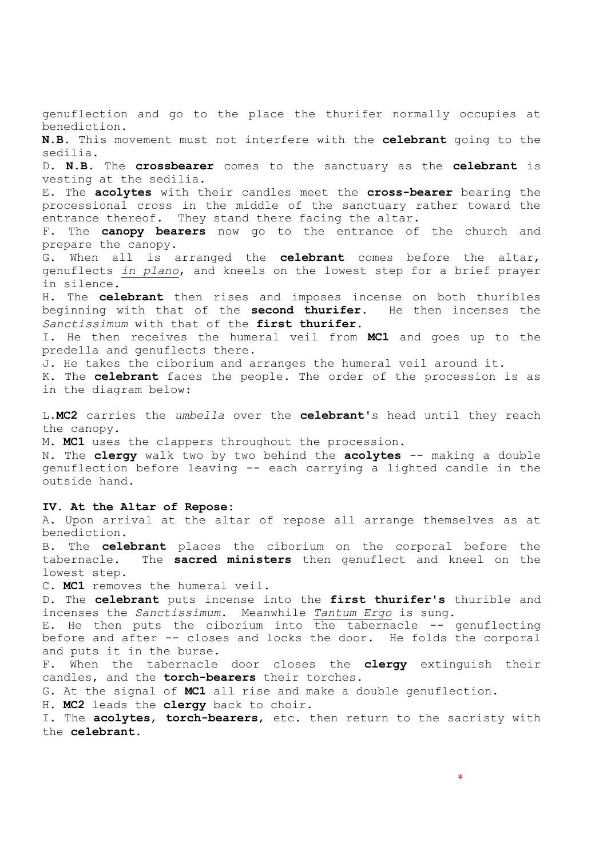genuflection and go to the place the thurifer normally occupies at benediction. **N.B.** This movement must not interfere with the **celebrant** going to the sedilia. D. **N.B.** The **crossbearer** comes to the sanctuary as the **celebrant** is vesting at the sedilia. E. The **acolytes** with their candles meet the **cross-bearer** bearing the processional cross in the middle of the sanctuary rather toward the entrance thereof. They stand there facing the altar. F. The **canopy bearers** now go to the entrance of the church and prepare the canopy. G. When all is arranged the **celebrant** comes before the altar, genuflects *in plano*, and kneels on the lowest step for a brief prayer in silence. H. The **celebrant** then rises and imposes incense on both thuribles beginning with that of the **second thurifer**. He then incenses the *Sanctissimum* with that of the **first thurifer**. I. He then receives the humeral veil from **MC1** and goes up to the predella and genuflects there. J. He takes the ciborium and arranges the humeral veil around it. K. The **celebrant** faces the people. The order of the procession is as in the diagram below: L.**MC2** carries the *umbella* over the **celebrant**'s head until they reach the canopy. M. **MC1** uses the clappers throughout the procession. N. The **clergy** walk two by two behind the **acolytes** -- making a double genuflection before leaving -- each carrying a lighted candle in the outside hand. **IV. At the Altar of Repose:** A. Upon arrival at the altar of repose all arrange themselves as at benediction. B. The **celebrant** places the ciborium on the corporal before the tabernacle. The **sacred ministers** then genuflect and kneel on the lowest step. C. **MC1** removes the humeral veil. D. The **celebrant** puts incense into the **first thurifer's** thurible and incenses the *Sanctissimum*. Meanwhile *Tantum Ergo* is sung. E. He then puts the ciborium into the tabernacle -- genuflecting before and after -- closes and locks the door. He folds the corporal and puts it in the burse. F. When the tabernacle door closes the **clergy** extinguish their candles, and the **torch-bearers** their torches. G. At the signal of **MC1** all rise and make a double genuflection. H. **MC2** leads the **clergy** back to choir. I. The **acolytes**, **torch-bearers**, etc. then return to the sacristy with the **celebrant**.

\*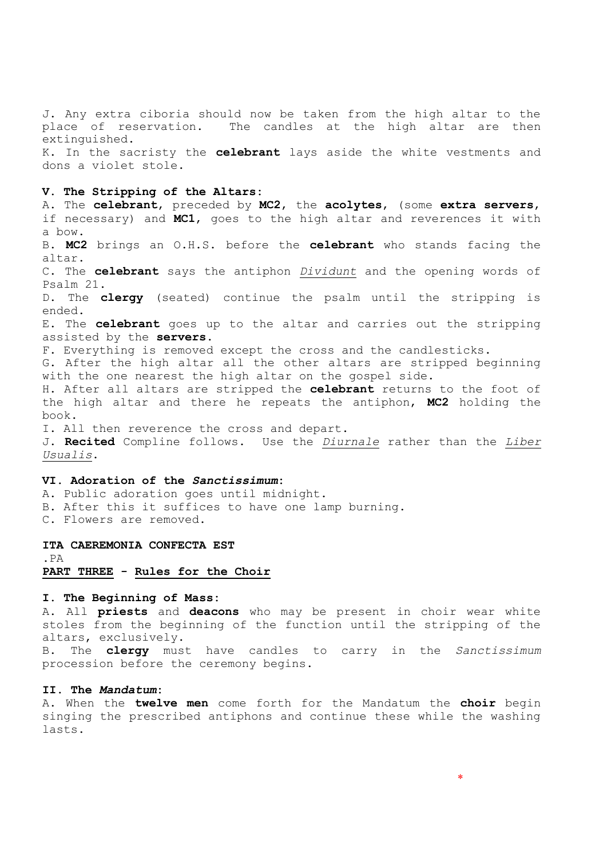J. Any extra ciboria should now be taken from the high altar to the place of reservation. The candles at the high altar are then extinguished.

K. In the sacristy the **celebrant** lays aside the white vestments and dons a violet stole.

#### **V. The Stripping of the Altars:**

A. The **celebrant**, preceded by **MC2**, the **acolytes**, (some **extra servers**, if necessary) and **MC1**, goes to the high altar and reverences it with a bow. B. **MC2** brings an O.H.S. before the **celebrant** who stands facing the altar. C. The **celebrant** says the antiphon *Dividunt* and the opening words of Psalm 21. D. The **clergy** (seated) continue the psalm until the stripping is ended. E. The **celebrant** goes up to the altar and carries out the stripping assisted by the **servers**. F. Everything is removed except the cross and the candlesticks. G. After the high altar all the other altars are stripped beginning with the one nearest the high altar on the gospel side. H. After all altars are stripped the **celebrant** returns to the foot of the high altar and there he repeats the antiphon, **MC2** holding the book. I. All then reverence the cross and depart. J. **Recited** Compline follows. Use the *Diurnale* rather than the *Liber Usualis*.

# **VI. Adoration of the** *Sanctissimum***:**

A. Public adoration goes until midnight. B. After this it suffices to have one lamp burning. C. Flowers are removed.

#### **ITA CAEREMONIA CONFECTA EST**

.PA

#### **PART THREE - Rules for the Choir**

### **I. The Beginning of Mass:**

A. All **priests** and **deacons** who may be present in choir wear white stoles from the beginning of the function until the stripping of the altars, exclusively.

B. The **clergy** must have candles to carry in the *Sanctissimum* procession before the ceremony begins.

# **II. The** *Mandatum***:**

A. When the **twelve men** come forth for the Mandatum the **choir** begin singing the prescribed antiphons and continue these while the washing lasts.